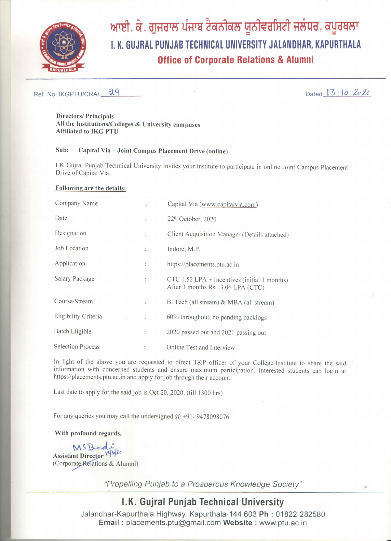

# ਆਈ. ਕੇ. ਗੁਜਰਾਲ ਪੰਜਾਬ ਟੈਕਨੀਕਲ ਯੂਨੀਵਰਸਿਟੀ ਜਲੰਧਰ, ਕਪੂਰਥਲਾ I. K. GUJRAL PUNJAB TECHNICAL UNIVERSITY JALANDHAR, KAPURTHALA **Office of Corporate Relations & Alumni**

## Ref. No. IKGPTU/CRA/29

Dated  $13 - 10 - 2020$ 

**Directors/Principals** All the Institutions/Colleges & University campuses **Affiliated to IKG PTU** 

#### Sub: Capital Via - Joint Campus Placement Drive (online)

I K Gujral Punjab Technical University invites your institute to participate in online Joint Campus Placement Drive of Capital Via.

#### Following are the details:

| Company Name             | $\ddot{\cdot}$       | Capital Via (www.capitalvia.com)                                                  |
|--------------------------|----------------------|-----------------------------------------------------------------------------------|
| Date                     | $\ddot{\cdot}$       | 22 <sup>th</sup> October, 2020                                                    |
| Designation              | ÷                    | Client Acquisition Manager (Details attached)                                     |
| Job Location             | ÷                    | Indore, M.P.                                                                      |
| Application              | $\ddot{\phantom{a}}$ | https://placements.ptu.ac.in                                                      |
| Salary Package           | t                    | CTC 1.52 LPA + Incentives (initial 3 months)<br>After 3 months Rs. 3.06 LPA (CTC) |
| Course/Stream            | $\ddot{\cdot}$       | B. Tech (all stream) & MBA (all stream)                                           |
| Eligibility Criteria     | $\ddot{\cdot}$       | 60% throughout, no pending backlogs                                               |
| <b>Batch Eligible</b>    | $\ddot{\cdot}$       | 2020 passed out and 2021 passing out                                              |
| <b>Selection Process</b> |                      | Online Test and Interview                                                         |

In light of the above you are requested to direct T&P officer of your College/Institute to share the said information with concerned students and ensure maximum participation. Interested students can login at https://placements.ptu.ac.in and apply for job through their account.

Last date to apply for the said job is Oct 20, 2020. (till 1300 hrs)

For any queries you may call the undersigned  $\omega$  +91-9478098076.

### With profound regards,

MSBedi<br>Assistant Director 13/10/20 (Corporate Relations & Alumni)

"Propelling Punjab to a Prosperous Knowledge Society"

## I.K. Gujral Punjab Technical University

Jalandhar-Kapurthala Highway, Kapurthala-144 603 Ph: 01822-282580 Email: placements.ptu@gmail.com Website: www.ptu.ac.in